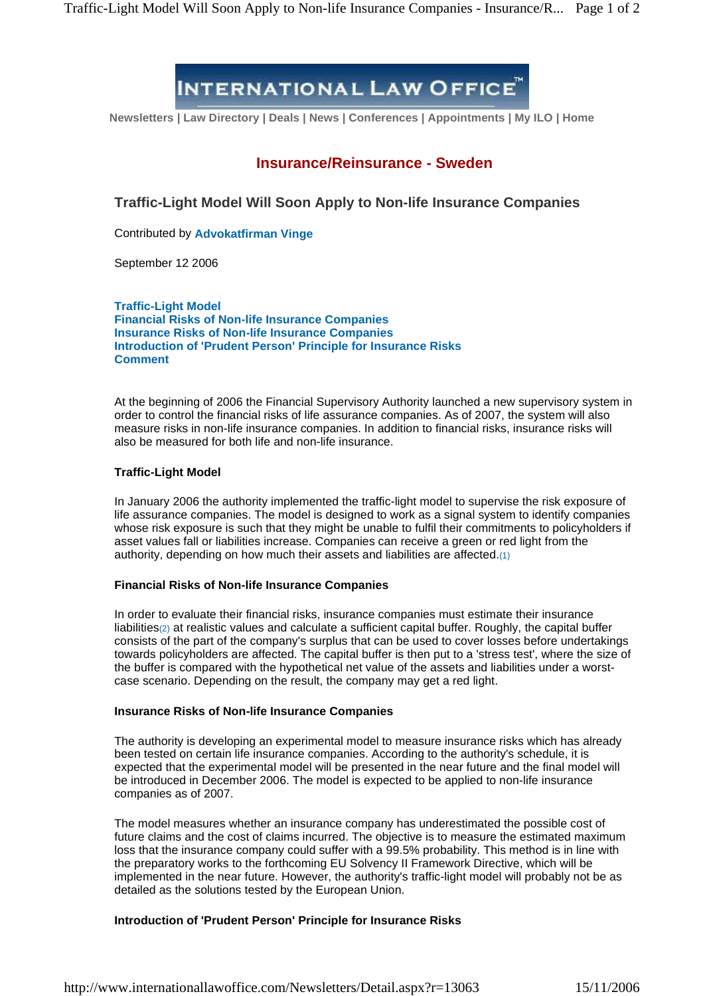# **INTERNATIONAL LAW OFFICE**

**Newsletters | Law Directory | Deals | News | Conferences | Appointments | My ILO | Home**

## **Insurance/Reinsurance - Sweden**

**Traffic-Light Model Will Soon Apply to Non-life Insurance Companies**

Contributed by **Advokatfirman Vinge**

September 12 2006

**Traffic-Light Model Financial Risks of Non-life Insurance Companies Insurance Risks of Non-life Insurance Companies Introduction of 'Prudent Person' Principle for Insurance Risks Comment**

At the beginning of 2006 the Financial Supervisory Authority launched a new supervisory system in order to control the financial risks of life assurance companies. As of 2007, the system will also measure risks in non-life insurance companies. In addition to financial risks, insurance risks will also be measured for both life and non-life insurance.

### **Traffic-Light Model**

In January 2006 the authority implemented the traffic-light model to supervise the risk exposure of life assurance companies. The model is designed to work as a signal system to identify companies whose risk exposure is such that they might be unable to fulfil their commitments to policyholders if asset values fall or liabilities increase. Companies can receive a green or red light from the authority, depending on how much their assets and liabilities are affected.(1)

### **Financial Risks of Non-life Insurance Companies**

In order to evaluate their financial risks, insurance companies must estimate their insurance liabilities(2) at realistic values and calculate a sufficient capital buffer. Roughly, the capital buffer consists of the part of the company's surplus that can be used to cover losses before undertakings towards policyholders are affected. The capital buffer is then put to a 'stress test', where the size of the buffer is compared with the hypothetical net value of the assets and liabilities under a worst case scenario. Depending on the result, the company may get a red light.

### **Insurance Risks of Non-life Insurance Companies**

The authority is developing an experimental model to measure insurance risks which has already been tested on certain life insurance companies. According to the authority's schedule, it is expected that the experimental model will be presented in the near future and the final model will be introduced in December 2006. The model is expected to be applied to non-life insurance companies as of 2007.

The model measures whether an insurance company has underestimated the possible costof future claims and the cost of claims incurred. The objective is to measure the estimated maximum loss that the insurance company could suffer with a 99.5% probability. This method is in line with the preparatory works to the forthcoming EU Solvency II Framework Directive, which will be implemented in the near future. However, the authority's traffic-light model will probably not be as detailed as the solutions tested by the European Union.

### **Introduction of 'Prudent Person' Principle for Insurance Risks**